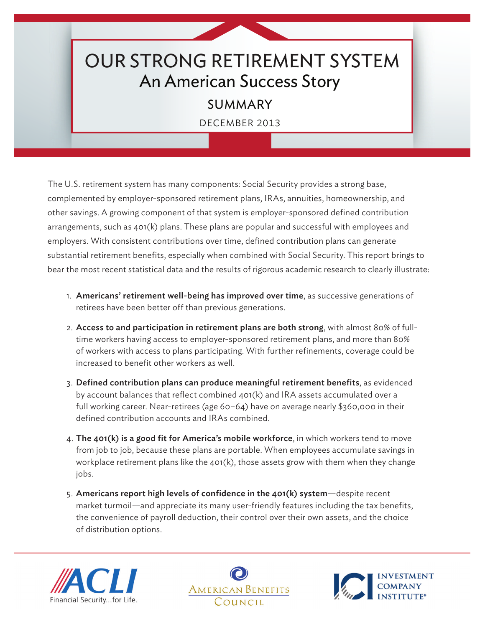## OUR STRONG RETIREMENT SYSTEM An American Success Story

## SUMMARY

DECEMBER 2013

The U.S. retirement system has many components: Social Security provides a strong base, complemented by employer-sponsored retirement plans, IRAs, annuities, homeownership, and other savings. A growing component of that system is employer-sponsored defined contribution arrangements, such as  $401(k)$  plans. These plans are popular and successful with employees and employers. With consistent contributions over time, defined contribution plans can generate substantial retirement benefits, especially when combined with Social Security. This report brings to bear the most recent statistical data and the results of rigorous academic research to clearly illustrate:

- 1. Americans' retirement well-being has improved over time, as successive generations of retirees have been better off than previous generations.
- 2. Access to and participation in retirement plans are both strong, with almost 80% of fulltime workers having access to employer-sponsored retirement plans, and more than 80% of workers with access to plans participating. With further refinements, coverage could be increased to benefit other workers as well.
- 3. Defined contribution plans can produce meaningful retirement benefits, as evidenced by account balances that reflect combined  $401(k)$  and IRA assets accumulated over a full working career. Near-retirees (age 60–64) have on average nearly \$360,000 in their defined contribution accounts and IRAs combined.
- 4. The 401(k) is a good fit for America's mobile workforce, in which workers tend to move from job to job, because these plans are portable. When employees accumulate savings in workplace retirement plans like the  $401(k)$ , those assets grow with them when they change jobs.
- 5. Americans report high levels of confidence in the 401(k) system—despite recent market turmoil—and appreciate its many user-friendly features including the tax benefits, the convenience of payroll deduction, their control over their own assets, and the choice of distribution options.